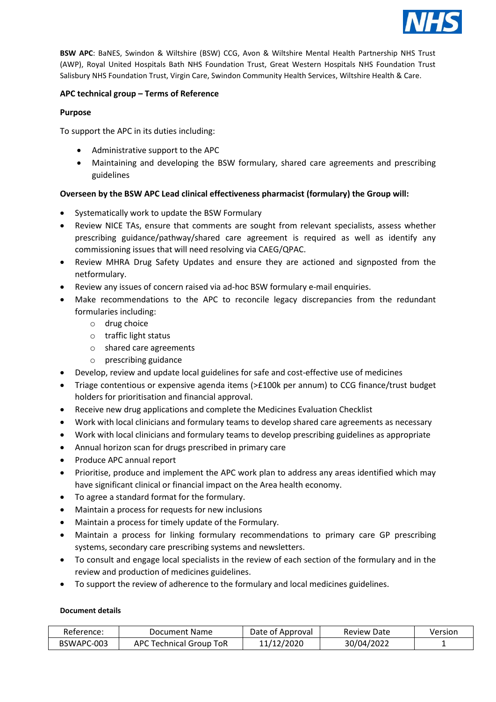

**BSW APC**: BaNES, Swindon & Wiltshire (BSW) CCG, Avon & Wiltshire Mental Health Partnership NHS Trust (AWP), Royal United Hospitals Bath NHS Foundation Trust, Great Western Hospitals NHS Foundation Trust Salisbury NHS Foundation Trust, Virgin Care, Swindon Community Health Services, Wiltshire Health & Care.

# **APC technical group – Terms of Reference**

# **Purpose**

To support the APC in its duties including:

- Administrative support to the APC
- Maintaining and developing the BSW formulary, shared care agreements and prescribing guidelines

# **Overseen by the BSW APC Lead clinical effectiveness pharmacist (formulary) the Group will:**

- Systematically work to update the BSW Formulary
- Review NICE TAs, ensure that comments are sought from relevant specialists, assess whether prescribing guidance/pathway/shared care agreement is required as well as identify any commissioning issues that will need resolving via CAEG/QPAC.
- Review MHRA Drug Safety Updates and ensure they are actioned and signposted from the netformulary.
- Review any issues of concern raised via ad-hoc BSW formulary e-mail enquiries.
- Make recommendations to the APC to reconcile legacy discrepancies from the redundant formularies including:
	- o drug choice
	- o traffic light status
	- o shared care agreements
	- o prescribing guidance
- Develop, review and update local guidelines for safe and cost-effective use of medicines
- Triage contentious or expensive agenda items (>£100k per annum) to CCG finance/trust budget holders for prioritisation and financial approval.
- Receive new drug applications and complete the Medicines Evaluation Checklist
- Work with local clinicians and formulary teams to develop shared care agreements as necessary
- Work with local clinicians and formulary teams to develop prescribing guidelines as appropriate
- Annual horizon scan for drugs prescribed in primary care
- Produce APC annual report
- Prioritise, produce and implement the APC work plan to address any areas identified which may have significant clinical or financial impact on the Area health economy.
- To agree a standard format for the formulary.
- Maintain a process for requests for new inclusions
- Maintain a process for timely update of the Formulary.
- Maintain a process for linking formulary recommendations to primary care GP prescribing systems, secondary care prescribing systems and newsletters.
- To consult and engage local specialists in the review of each section of the formulary and in the review and production of medicines guidelines.
- To support the review of adherence to the formulary and local medicines guidelines.

## **Document details**

| Reference: | Document Name           | Date of Approval | <b>Review Date</b> | Version |
|------------|-------------------------|------------------|--------------------|---------|
| BSWAPC-003 | APC Technical Group ToR | 11/12/2020       | 30/04/2022         |         |